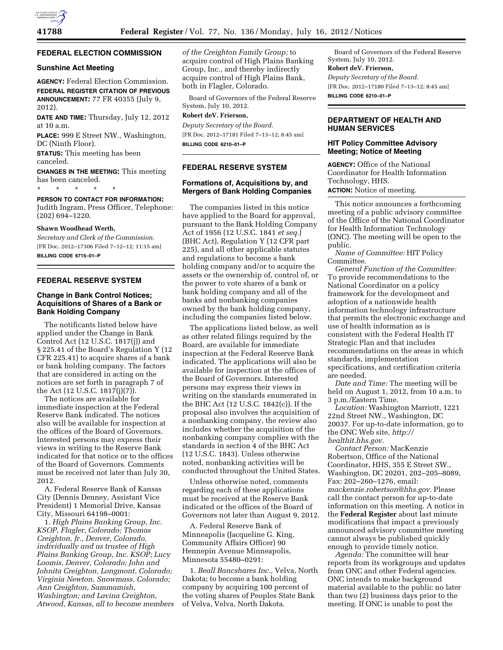

## **FEDERAL ELECTION COMMISSION**

#### **Sunshine Act Meeting**

**AGENCY:** Federal Election Commission. **FEDERAL REGISTER CITATION OF PREVIOUS ANNOUNCEMENT:** 77 FR 40355 (July 9, 2012).

**DATE AND TIME:** Thursday, July 12, 2012 at 10 a.m.

**PLACE:** 999 E Street NW., Washington, DC (Ninth Floor).

**STATUS:** This meeting has been canceled.

**CHANGES IN THE MEETING:** This meeting has been canceled.

\* \* \* \* \* **PERSON TO CONTACT FOR INFORMATION:** 

Judith Ingram, Press Officer, Telephone: (202) 694–1220.

## **Shawn Woodhead Werth,**

*Secretary and Clerk of the Commission.*  [FR Doc. 2012–17306 Filed 7–12–12; 11:15 am] **BILLING CODE 6715–01–P** 

## **FEDERAL RESERVE SYSTEM**

# **Change in Bank Control Notices; Acquisitions of Shares of a Bank or Bank Holding Company**

The notificants listed below have applied under the Change in Bank Control Act (12 U.S.C. 1817(j)) and § 225.41 of the Board's Regulation Y (12 CFR 225.41) to acquire shares of a bank or bank holding company. The factors that are considered in acting on the notices are set forth in paragraph 7 of the Act (12 U.S.C. 1817(j)(7)).

The notices are available for immediate inspection at the Federal Reserve Bank indicated. The notices also will be available for inspection at the offices of the Board of Governors. Interested persons may express their views in writing to the Reserve Bank indicated for that notice or to the offices of the Board of Governors. Comments must be received not later than July 30, 2012.

A. Federal Reserve Bank of Kansas City (Dennis Denney, Assistant Vice President) 1 Memorial Drive, Kansas City, Missouri 64198–0001:

1. *High Plains Banking Group, Inc. KSOP, Flagler, Colorado; Thomas Creighton, Jr., Denver, Colorado, individually and as trustee of High Plains Banking Group, Inc. KSOP; Lucy Loomis, Denver, Colorado; John and Johnita Creighton, Longmont, Colorado; Virginia Newton, Snowmass, Colorado; Ann Creighton, Sammamish, Washington; and Lavina Creighton, Atwood, Kansas, all to become members*  *of the Creighton Family Group;* to acquire control of High Plains Banking Group, Inc., and thereby indirectly acquire control of High Plains Bank, both in Flagler, Colorado.

Board of Governors of the Federal Reserve System, July 10, 2012.

#### **Robert deV. Frierson,**

*Deputy Secretary of the Board.*  [FR Doc. 2012–17181 Filed 7–13–12; 8:45 am] **BILLING CODE 6210–01–P** 

# **FEDERAL RESERVE SYSTEM**

# **Formations of, Acquisitions by, and Mergers of Bank Holding Companies**

The companies listed in this notice have applied to the Board for approval, pursuant to the Bank Holding Company Act of 1956 (12 U.S.C. 1841 *et seq.*) (BHC Act), Regulation Y (12 CFR part 225), and all other applicable statutes and regulations to become a bank holding company and/or to acquire the assets or the ownership of, control of, or the power to vote shares of a bank or bank holding company and all of the banks and nonbanking companies owned by the bank holding company, including the companies listed below.

The applications listed below, as well as other related filings required by the Board, are available for immediate inspection at the Federal Reserve Bank indicated. The applications will also be available for inspection at the offices of the Board of Governors. Interested persons may express their views in writing on the standards enumerated in the BHC Act (12 U.S.C. 1842(c)). If the proposal also involves the acquisition of a nonbanking company, the review also includes whether the acquisition of the nonbanking company complies with the standards in section 4 of the BHC Act (12 U.S.C. 1843). Unless otherwise noted, nonbanking activities will be conducted throughout the United States.

Unless otherwise noted, comments regarding each of these applications must be received at the Reserve Bank indicated or the offices of the Board of Governors not later than August 9, 2012.

A. Federal Reserve Bank of Minneapolis (Jacqueline G. King, Community Affairs Officer) 90 Hennepin Avenue Minneapolis, Minnesota 55480–0291:

1. *Beall Bancshares Inc.,* Velva, North Dakota; to become a bank holding company by acquiring 100 percent of the voting shares of Peoples State Bank of Velva, Velva, North Dakota.

Board of Governors of the Federal Reserve System, July 10, 2012. **Robert deV. Frierson,** 

*Deputy Secretary of the Board.*  [FR Doc. 2012–17180 Filed 7–13–12; 8:45 am] **BILLING CODE 6210–01–P** 

# **DEPARTMENT OF HEALTH AND HUMAN SERVICES**

# **HIT Policy Committee Advisory Meeting; Notice of Meeting**

**AGENCY:** Office of the National Coordinator for Health Information Technology, HHS. **ACTION:** Notice of meeting.

This notice announces a forthcoming meeting of a public advisory committee of the Office of the National Coordinator for Health Information Technology (ONC). The meeting will be open to the public.

*Name of Committee:* HIT Policy Committee.

*General Function of the Committee:*  To provide recommendations to the National Coordinator on a policy framework for the development and adoption of a nationwide health information technology infrastructure that permits the electronic exchange and use of health information as is consistent with the Federal Health IT Strategic Plan and that includes recommendations on the areas in which standards, implementation specifications, and certification criteria are needed.

*Date and Time:* The meeting will be held on August 1, 2012, from 10 a.m. to 3 p.m./Eastern Time.

*Location:* Washington Marriott, 1221 22nd Street NW., Washington, DC 20037. For up-to-date information, go to the ONC Web site, *[http://](http://healthit.hhs.gov)  [healthit.hhs.gov](http://healthit.hhs.gov)*.

*Contact Person:* MacKenzie Robertson, Office of the National Coordinator, HHS, 355 E Street SW., Washington, DC 20201, 202–205–8089, Fax: 202–260–1276, email: *[mackenzie.robertson@hhs.gov.](mailto:mackenzie.robertson@hhs.gov)* Please call the contact person for up-to-date information on this meeting. A notice in the **Federal Register** about last minute modifications that impact a previously announced advisory committee meeting cannot always be published quickly enough to provide timely notice.

*Agenda:* The committee will hear reports from its workgroups and updates from ONC and other Federal agencies. ONC intends to make background material available to the public no later than two (2) business days prior to the meeting. If ONC is unable to post the